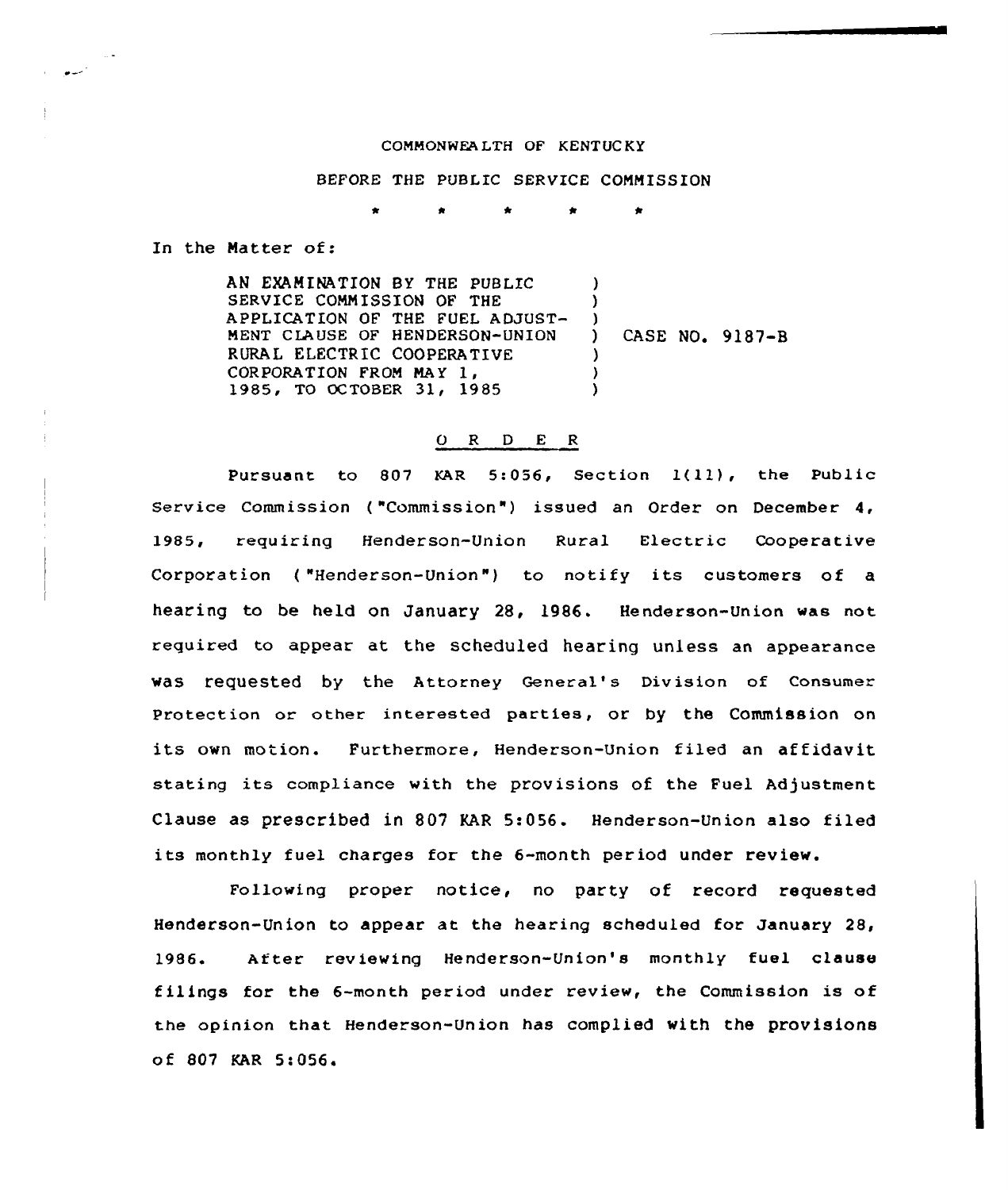## COMMONWEA LTH OF KENT UC KY

## BEFORE THE PUBLIC SERVICE COMMISSION

In the Natter of:

AN EXAMINATION BY THE PUBLIC. SERVICE COMMISSION OF THE APPLICATION OF THE FUEL ADJUST-MENT CLAUSE OF HENDERSON-UNION RURAL ELECTRIC COOPERATIVE<br>CORPORATION FROM MAY 1. 1985, TO OCTOBER 31, 1985  $\lambda$  $\lambda$  $\left\{ \begin{array}{c} 1 \\ 1 \end{array} \right\}$ ) CASE NO. 9187-B ) ) )

## 0 R <sup>D</sup> E R

Pursuant to 807 KAR 5:056, Section  $1(11)$ , the Public Service Commission ("Commission") issued an Order on December 4, 1985, requiring Henderson-Union Rural Electric Cooperative Corporation ("Henderson-Union") to notify its customers of a hearing to be held on January 28, 1986. Henderson-Union was not required to appear at the scheduled hearing unless an appearance was requested by the Attorney General's Division of Consumer protection or other interested parties, or by the Commission on its own motion. Furthermore, Henderson-Union filed an affidavit stating its compliance with the provisions of the Fuel Adjustment Clause as prescribed in 807 KAR 5:056. Henderson-Union also filed its monthly fuel charges for the 6-month period under review.

Following proper notice, no party of record requested Henderson-Union to appear at the hearing scheduled for January 28, 1986. After reviewing Henderson-Union's monthly fuel clause filings for the 6-month period under review, the Commission is of the opinion that Henderson-Union has complied with the provisions of 807 KAR 5:056'